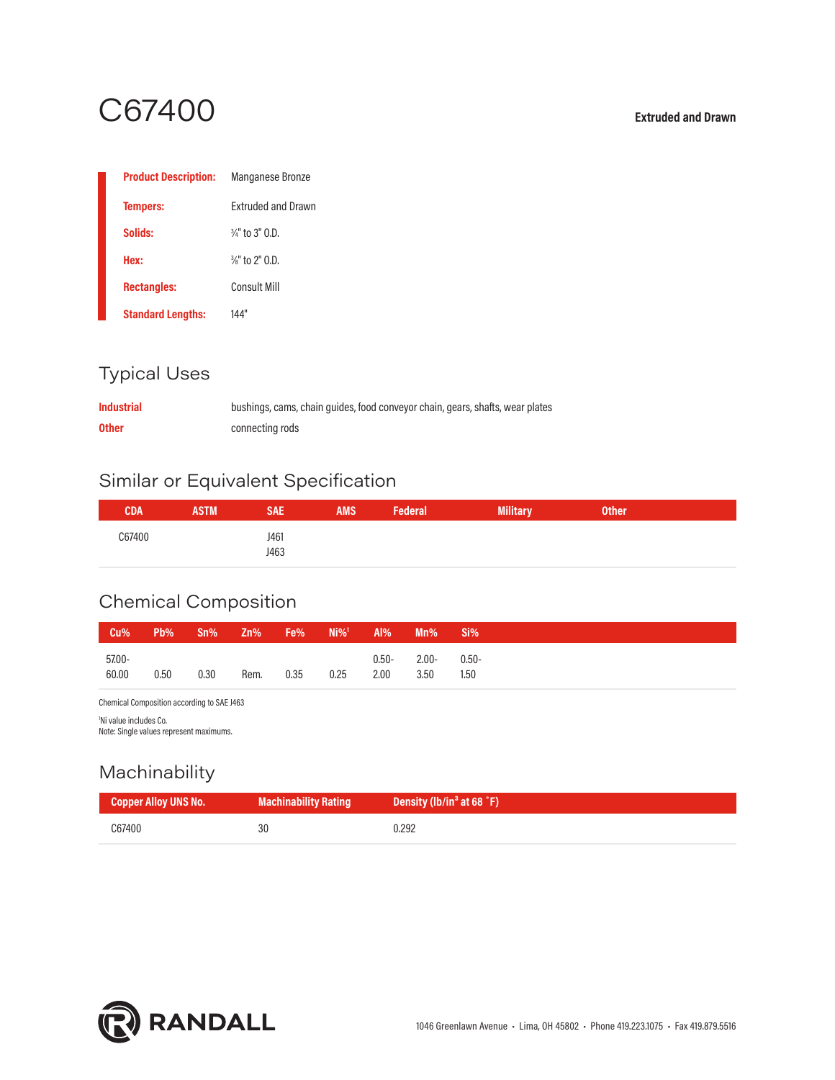# C67400 **Extruded and Drawn**

| <b>Product Description:</b> | <b>Manganese Bronze</b>    |
|-----------------------------|----------------------------|
| <b>Tempers:</b>             | <b>Extruded and Drawn</b>  |
| Solids:                     | $\frac{3}{4}$ " to 3" 0.D. |
| Hex:                        | $\frac{3}{8}$ " to 2" 0.D. |
| <b>Rectangles:</b>          | Consult Mill               |
| <b>Standard Lengths:</b>    | 144"                       |

### Typical Uses

| <b>Industrial</b> | bushings, cams, chain guides, food conveyor chain, gears, shafts, wear plates |
|-------------------|-------------------------------------------------------------------------------|
| <b>Other</b>      | connecting rods                                                               |

### Similar or Equivalent Specification

| CDA    | <b>ASTM</b> | SAE          | <b>AMS</b> | <b>Federal</b> | <b>Military</b> | <b>Other</b> |  |
|--------|-------------|--------------|------------|----------------|-----------------|--------------|--|
| C67400 |             | J461<br>J463 |            |                |                 |              |  |

## Chemical Composition

| Cu%             | $Pb\%$ | Sn%  | Zn%  | Fe%  | $Ni\%$ <sup>1</sup> | Al%              | Mn%              | Si%              |
|-----------------|--------|------|------|------|---------------------|------------------|------------------|------------------|
| 57,00-<br>60,00 | 0.50   | 0.30 | Rem. | 0.35 | 0.25                | $0.50 -$<br>2.00 | $2.00 -$<br>3.50 | $0.50 -$<br>1.50 |

Chemical Composition according to SAE J463

1 Ni value includes Co.

Note: Single values represent maximums.

### Machinability

| Copper Alloy UNS No. | Machinability Rating | Density (lb/in <sup>3</sup> at 68 °F) |
|----------------------|----------------------|---------------------------------------|
| C67400               | 30                   | J.292                                 |

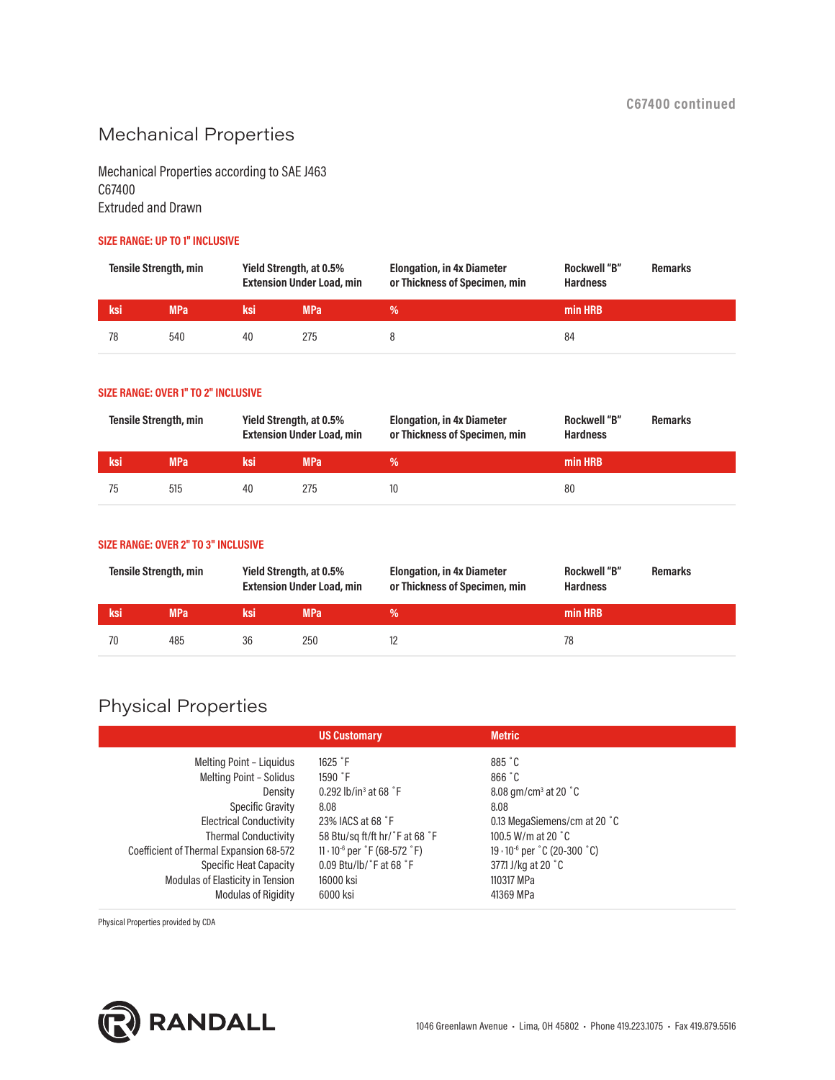### Mechanical Properties

Mechanical Properties according to SAE J463 C67400 Extruded and Drawn

#### **SIZE RANGE: UP TO 1" INCLUSIVE**

| <b>Tensile Strength, min</b> |     |     | Yield Strength, at 0.5%<br><b>Extension Under Load, min</b> | <b>Elongation, in 4x Diameter</b><br>or Thickness of Specimen, min | <b>Rockwell "B"</b><br><b>Hardness</b> | <b>Remarks</b> |
|------------------------------|-----|-----|-------------------------------------------------------------|--------------------------------------------------------------------|----------------------------------------|----------------|
| ksi                          | MPa | ksi | <b>MPa</b>                                                  |                                                                    | min HRB                                |                |
| 78                           | 540 | 40  | 275                                                         |                                                                    | 84                                     |                |

#### **SIZE RANGE: OVER 1" TO 2" INCLUSIVE**

| Tensile Strength, min |            |      | Yield Strength, at 0.5%<br><b>Extension Under Load, min</b> | <b>Elongation, in 4x Diameter</b><br>or Thickness of Specimen, min | <b>Rockwell "B"</b><br><b>Hardness</b> | <b>Remarks</b> |
|-----------------------|------------|------|-------------------------------------------------------------|--------------------------------------------------------------------|----------------------------------------|----------------|
| ksi                   | <b>MPa</b> | 'ksi | <b>MPa</b>                                                  | %                                                                  | min HRB                                |                |
| 75                    | 515        | 40   | 275                                                         | 10                                                                 | 80                                     |                |

#### **SIZE RANGE: OVER 2" TO 3" INCLUSIVE**

| <b>Tensile Strength, min</b> |            |      | Yield Strength, at 0.5%<br><b>Extension Under Load, min</b> | <b>Elongation, in 4x Diameter</b><br>or Thickness of Specimen, min | <b>Rockwell "B"</b><br><b>Hardness</b> | <b>Remarks</b> |
|------------------------------|------------|------|-------------------------------------------------------------|--------------------------------------------------------------------|----------------------------------------|----------------|
| ksi                          | <b>MPa</b> | 'ksi | MPa                                                         |                                                                    | min HRB                                |                |
|                              | 485        | 36   | 250                                                         |                                                                    | 78                                     |                |

### Physical Properties

| <b>US Customary</b>                                     | <b>Metric</b>                              |  |
|---------------------------------------------------------|--------------------------------------------|--|
| $1625$ $\degree$ F                                      | 885 °C                                     |  |
| $1590$ $\degree$ F                                      | 866 °C                                     |  |
| 0.292 lb/in <sup>3</sup> at 68 $\degree$ F              | 8.08 $qm/cm3$ at 20 $°C$                   |  |
| 8.08                                                    | 8.08                                       |  |
| 23% IACS at 68 °F                                       | 0.13 MegaSiemens/cm at 20 °C               |  |
| 58 Btu/sq ft/ft hr/°F at 68 °F                          | 100.5 W/m at 20 $^{\circ}$ C               |  |
| $11 \cdot 10^{-6}$ per $\degree$ F (68-572 $\degree$ F) | $19 \cdot 10^{-6}$ per $°C$ (20-300 $°C$ ) |  |
| $0.09$ Btu/lb/ $\degree$ F at 68 $\degree$ F            | 377.1 J/kg at 20 °C                        |  |
| 16000 ksi                                               | 110317 MPa                                 |  |
| 6000 ksi                                                | 41369 MPa                                  |  |
|                                                         |                                            |  |

Physical Properties provided by CDA